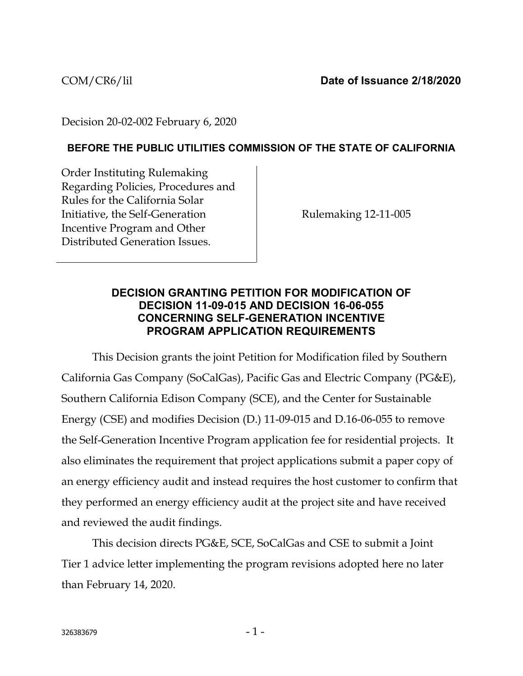Decision 20-02-002 February 6, 2020

## **BEFORE THE PUBLIC UTILITIES COMMISSION OF THE STATE OF CALIFORNIA**

Order Instituting Rulemaking Regarding Policies, Procedures and Rules for the California Solar Initiative, the Self-Generation Incentive Program and Other Distributed Generation Issues.

Rulemaking 12-11-005

## **DECISION GRANTING PETITION FOR MODIFICATION OF DECISION 11-09-015 AND DECISION 16-06-055 CONCERNING SELF-GENERATION INCENTIVE PROGRAM APPLICATION REQUIREMENTS**

This Decision grants the joint Petition for Modification filed by Southern California Gas Company (SoCalGas), Pacific Gas and Electric Company (PG&E), Southern California Edison Company (SCE), and the Center for Sustainable Energy (CSE) and modifies Decision (D.) 11-09-015 and D.16-06-055 to remove the Self-Generation Incentive Program application fee for residential projects. It also eliminates the requirement that project applications submit a paper copy of an energy efficiency audit and instead requires the host customer to confirm that they performed an energy efficiency audit at the project site and have received and reviewed the audit findings.

This decision directs PG&E, SCE, SoCalGas and CSE to submit a Joint Tier 1 advice letter implementing the program revisions adopted here no later than February 14, 2020.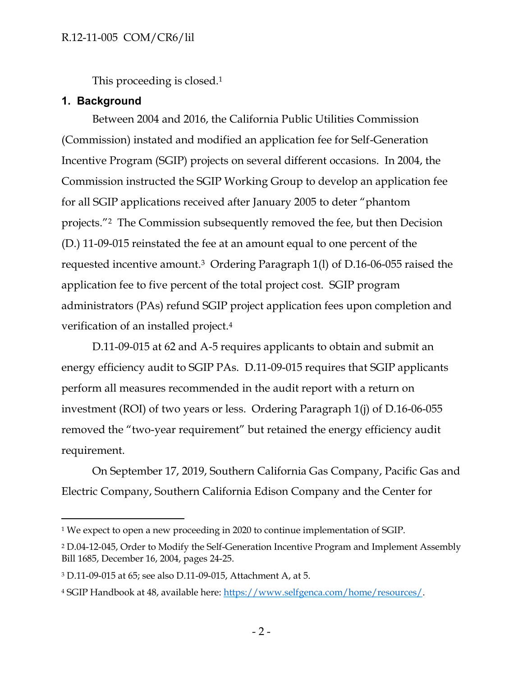This proceeding is closed.<sup>1</sup>

## **1. Background**

 $\overline{a}$ 

Between 2004 and 2016, the California Public Utilities Commission (Commission) instated and modified an application fee for Self-Generation Incentive Program (SGIP) projects on several different occasions. In 2004, the Commission instructed the SGIP Working Group to develop an application fee for all SGIP applications received after January 2005 to deter "phantom projects."2 The Commission subsequently removed the fee, but then Decision (D.) 11-09-015 reinstated the fee at an amount equal to one percent of the requested incentive amount.<sup>3</sup> Ordering Paragraph 1(l) of D.16-06-055 raised the application fee to five percent of the total project cost. SGIP program administrators (PAs) refund SGIP project application fees upon completion and verification of an installed project.<sup>4</sup>

D.11-09-015 at 62 and A-5 requires applicants to obtain and submit an energy efficiency audit to SGIP PAs. D.11-09-015 requires that SGIP applicants perform all measures recommended in the audit report with a return on investment (ROI) of two years or less. Ordering Paragraph 1(j) of D.16-06-055 removed the "two-year requirement" but retained the energy efficiency audit requirement.

On September 17, 2019, Southern California Gas Company, Pacific Gas and Electric Company, Southern California Edison Company and the Center for

<sup>&</sup>lt;sup>1</sup> We expect to open a new proceeding in 2020 to continue implementation of SGIP.

<sup>2</sup> D.04-12-045, Order to Modify the Self-Generation Incentive Program and Implement Assembly Bill 1685, December 16, 2004, pages 24-25.

<sup>3</sup> D.11-09-015 at 65; see also D.11-09-015, Attachment A, at 5.

<sup>4</sup> SGIP Handbook at 48, available here: [https://www.selfgenca.com/home/resources/.](https://www.selfgenca.com/home/resources/)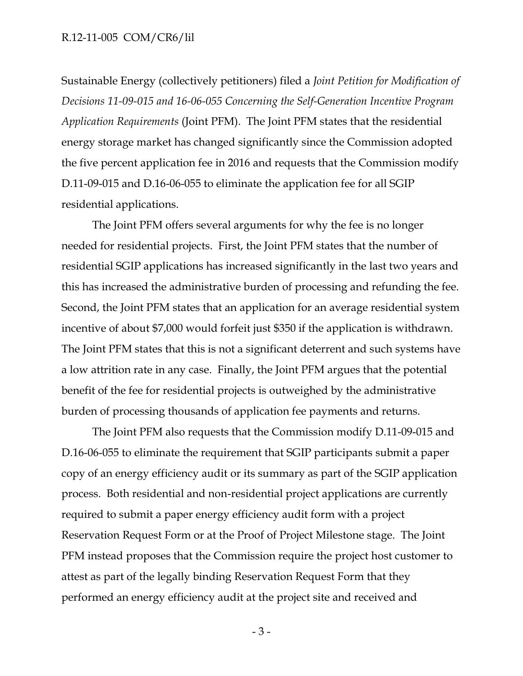#### R.12-11-005 COM/CR6/lil

Sustainable Energy (collectively petitioners) filed a *Joint Petition for Modification of Decisions 11-09-015 and 16-06-055 Concerning the Self-Generation Incentive Program Application Requirements* (Joint PFM). The Joint PFM states that the residential energy storage market has changed significantly since the Commission adopted the five percent application fee in 2016 and requests that the Commission modify D.11-09-015 and D.16-06-055 to eliminate the application fee for all SGIP residential applications.

The Joint PFM offers several arguments for why the fee is no longer needed for residential projects. First, the Joint PFM states that the number of residential SGIP applications has increased significantly in the last two years and this has increased the administrative burden of processing and refunding the fee. Second, the Joint PFM states that an application for an average residential system incentive of about \$7,000 would forfeit just \$350 if the application is withdrawn. The Joint PFM states that this is not a significant deterrent and such systems have a low attrition rate in any case. Finally, the Joint PFM argues that the potential benefit of the fee for residential projects is outweighed by the administrative burden of processing thousands of application fee payments and returns.

The Joint PFM also requests that the Commission modify D.11-09-015 and D.16-06-055 to eliminate the requirement that SGIP participants submit a paper copy of an energy efficiency audit or its summary as part of the SGIP application process. Both residential and non-residential project applications are currently required to submit a paper energy efficiency audit form with a project Reservation Request Form or at the Proof of Project Milestone stage. The Joint PFM instead proposes that the Commission require the project host customer to attest as part of the legally binding Reservation Request Form that they performed an energy efficiency audit at the project site and received and

- 3 -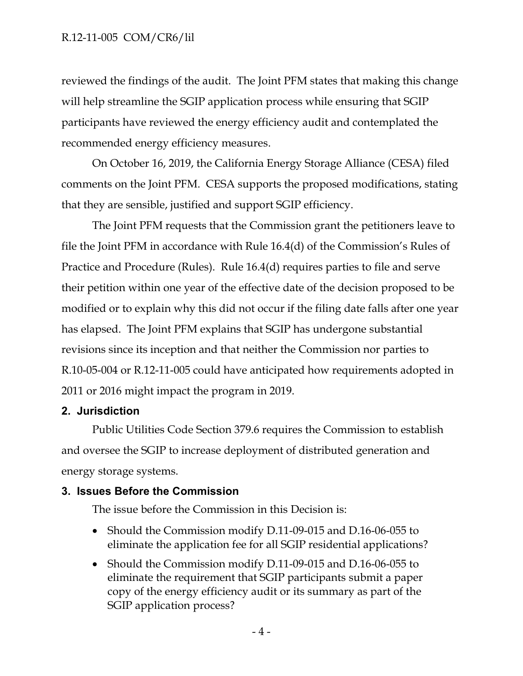## R.12-11-005 COM/CR6/lil

reviewed the findings of the audit. The Joint PFM states that making this change will help streamline the SGIP application process while ensuring that SGIP participants have reviewed the energy efficiency audit and contemplated the recommended energy efficiency measures.

On October 16, 2019, the California Energy Storage Alliance (CESA) filed comments on the Joint PFM. CESA supports the proposed modifications, stating that they are sensible, justified and support SGIP efficiency.

The Joint PFM requests that the Commission grant the petitioners leave to file the Joint PFM in accordance with Rule 16.4(d) of the Commission's Rules of Practice and Procedure (Rules). Rule 16.4(d) requires parties to file and serve their petition within one year of the effective date of the decision proposed to be modified or to explain why this did not occur if the filing date falls after one year has elapsed. The Joint PFM explains that SGIP has undergone substantial revisions since its inception and that neither the Commission nor parties to R.10-05-004 or R.12-11-005 could have anticipated how requirements adopted in 2011 or 2016 might impact the program in 2019.

## **2. Jurisdiction**

Public Utilities Code Section 379.6 requires the Commission to establish and oversee the SGIP to increase deployment of distributed generation and energy storage systems.

## **3. Issues Before the Commission**

The issue before the Commission in this Decision is:

- Should the Commission modify D.11-09-015 and D.16-06-055 to eliminate the application fee for all SGIP residential applications?
- Should the Commission modify D.11-09-015 and D.16-06-055 to eliminate the requirement that SGIP participants submit a paper copy of the energy efficiency audit or its summary as part of the SGIP application process?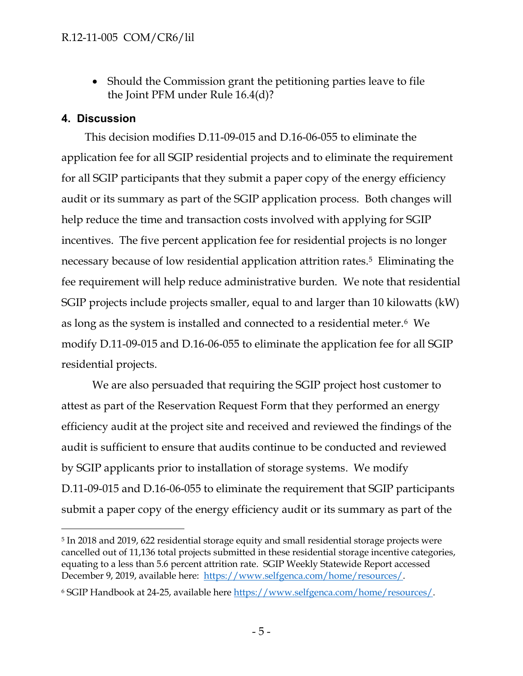• Should the Commission grant the petitioning parties leave to file the Joint PFM under Rule 16.4(d)?

# **4. Discussion**

 $\overline{a}$ 

This decision modifies D.11-09-015 and D.16-06-055 to eliminate the application fee for all SGIP residential projects and to eliminate the requirement for all SGIP participants that they submit a paper copy of the energy efficiency audit or its summary as part of the SGIP application process. Both changes will help reduce the time and transaction costs involved with applying for SGIP incentives. The five percent application fee for residential projects is no longer necessary because of low residential application attrition rates. <sup>5</sup> Eliminating the fee requirement will help reduce administrative burden. We note that residential SGIP projects include projects smaller, equal to and larger than 10 kilowatts (kW) as long as the system is installed and connected to a residential meter.6 We modify D.11-09-015 and D.16-06-055 to eliminate the application fee for all SGIP residential projects.

We are also persuaded that requiring the SGIP project host customer to attest as part of the Reservation Request Form that they performed an energy efficiency audit at the project site and received and reviewed the findings of the audit is sufficient to ensure that audits continue to be conducted and reviewed by SGIP applicants prior to installation of storage systems. We modify D.11-09-015 and D.16-06-055 to eliminate the requirement that SGIP participants submit a paper copy of the energy efficiency audit or its summary as part of the

<sup>5</sup> In 2018 and 2019, 622 residential storage equity and small residential storage projects were cancelled out of 11,136 total projects submitted in these residential storage incentive categories, equating to a less than 5.6 percent attrition rate. SGIP Weekly Statewide Report accessed December 9, 2019, available here: [https://www.selfgenca.com/home/resources/.](https://www.selfgenca.com/home/resources/)

<sup>6</sup> SGIP Handbook at 24-25, available here [https://www.selfgenca.com/home/resources/.](https://www.selfgenca.com/home/resources/)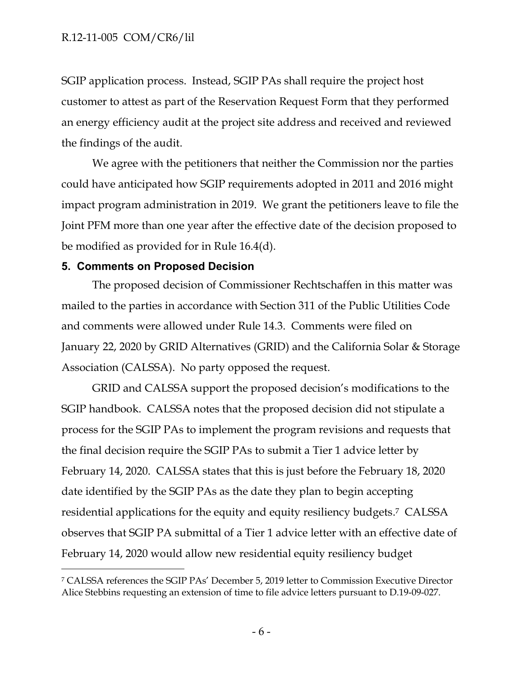SGIP application process. Instead, SGIP PAs shall require the project host customer to attest as part of the Reservation Request Form that they performed an energy efficiency audit at the project site address and received and reviewed the findings of the audit.

We agree with the petitioners that neither the Commission nor the parties could have anticipated how SGIP requirements adopted in 2011 and 2016 might impact program administration in 2019. We grant the petitioners leave to file the Joint PFM more than one year after the effective date of the decision proposed to be modified as provided for in Rule 16.4(d).

## **5. Comments on Proposed Decision**

 $\overline{a}$ 

The proposed decision of Commissioner Rechtschaffen in this matter was mailed to the parties in accordance with Section 311 of the Public Utilities Code and comments were allowed under Rule 14.3. Comments were filed on January 22, 2020 by GRID Alternatives (GRID) and the California Solar & Storage Association (CALSSA). No party opposed the request.

GRID and CALSSA support the proposed decision's modifications to the SGIP handbook. CALSSA notes that the proposed decision did not stipulate a process for the SGIP PAs to implement the program revisions and requests that the final decision require the SGIP PAs to submit a Tier 1 advice letter by February 14, 2020. CALSSA states that this is just before the February 18, 2020 date identified by the SGIP PAs as the date they plan to begin accepting residential applications for the equity and equity resiliency budgets. <sup>7</sup> CALSSA observes that SGIP PA submittal of a Tier 1 advice letter with an effective date of February 14, 2020 would allow new residential equity resiliency budget

<sup>7</sup> CALSSA references the SGIP PAs' December 5, 2019 letter to Commission Executive Director Alice Stebbins requesting an extension of time to file advice letters pursuant to D.19-09-027.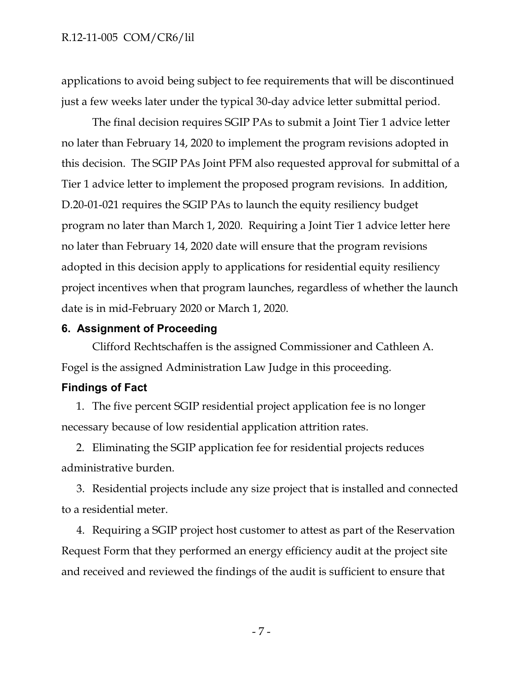applications to avoid being subject to fee requirements that will be discontinued just a few weeks later under the typical 30-day advice letter submittal period.

The final decision requires SGIP PAs to submit a Joint Tier 1 advice letter no later than February 14, 2020 to implement the program revisions adopted in this decision. The SGIP PAs Joint PFM also requested approval for submittal of a Tier 1 advice letter to implement the proposed program revisions. In addition, D.20-01-021 requires the SGIP PAs to launch the equity resiliency budget program no later than March 1, 2020. Requiring a Joint Tier 1 advice letter here no later than February 14, 2020 date will ensure that the program revisions adopted in this decision apply to applications for residential equity resiliency project incentives when that program launches, regardless of whether the launch date is in mid-February 2020 or March 1, 2020.

# **6. Assignment of Proceeding**

Clifford Rechtschaffen is the assigned Commissioner and Cathleen A. Fogel is the assigned Administration Law Judge in this proceeding.

## **Findings of Fact**

1. The five percent SGIP residential project application fee is no longer necessary because of low residential application attrition rates.

2. Eliminating the SGIP application fee for residential projects reduces administrative burden.

3. Residential projects include any size project that is installed and connected to a residential meter.

4. Requiring a SGIP project host customer to attest as part of the Reservation Request Form that they performed an energy efficiency audit at the project site and received and reviewed the findings of the audit is sufficient to ensure that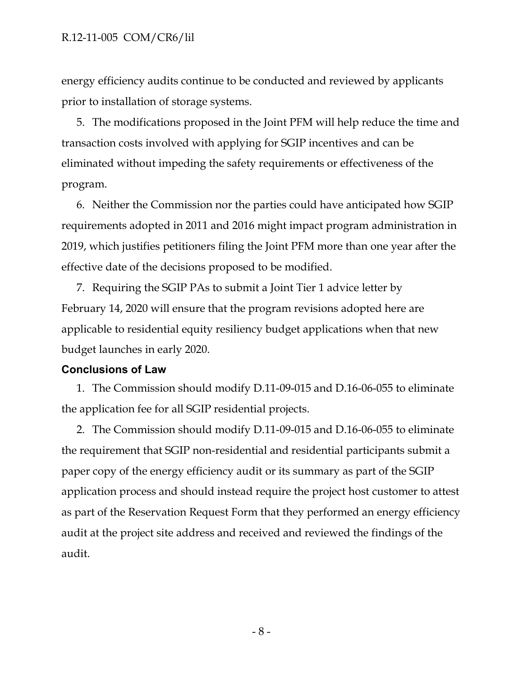#### R.12-11-005 COM/CR6/lil

energy efficiency audits continue to be conducted and reviewed by applicants prior to installation of storage systems.

5. The modifications proposed in the Joint PFM will help reduce the time and transaction costs involved with applying for SGIP incentives and can be eliminated without impeding the safety requirements or effectiveness of the program.

6. Neither the Commission nor the parties could have anticipated how SGIP requirements adopted in 2011 and 2016 might impact program administration in 2019, which justifies petitioners filing the Joint PFM more than one year after the effective date of the decisions proposed to be modified.

7. Requiring the SGIP PAs to submit a Joint Tier 1 advice letter by February 14, 2020 will ensure that the program revisions adopted here are applicable to residential equity resiliency budget applications when that new budget launches in early 2020.

#### **Conclusions of Law**

1. The Commission should modify D.11-09-015 and D.16-06-055 to eliminate the application fee for all SGIP residential projects.

2. The Commission should modify D.11-09-015 and D.16-06-055 to eliminate the requirement that SGIP non-residential and residential participants submit a paper copy of the energy efficiency audit or its summary as part of the SGIP application process and should instead require the project host customer to attest as part of the Reservation Request Form that they performed an energy efficiency audit at the project site address and received and reviewed the findings of the audit.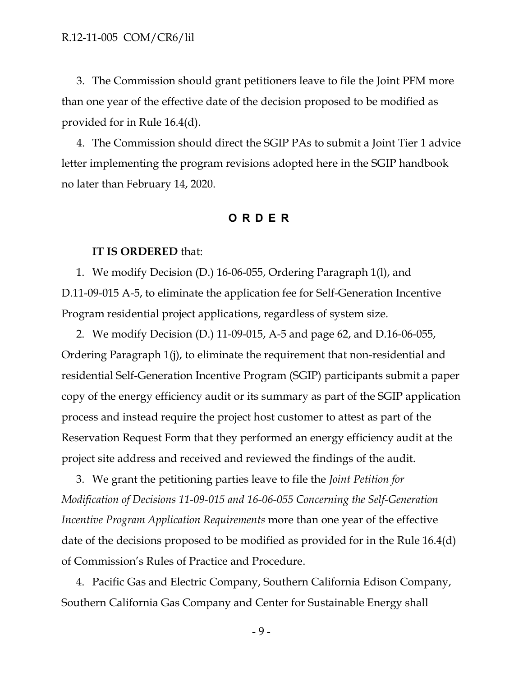3. The Commission should grant petitioners leave to file the Joint PFM more than one year of the effective date of the decision proposed to be modified as provided for in Rule 16.4(d).

4. The Commission should direct the SGIP PAs to submit a Joint Tier 1 advice letter implementing the program revisions adopted here in the SGIP handbook no later than February 14, 2020.

#### **O R DER**

#### **IT IS ORDERED** that:

1. We modify Decision (D.) 16-06-055, Ordering Paragraph 1(l), and D.11-09-015 A-5, to eliminate the application fee for Self-Generation Incentive Program residential project applications, regardless of system size.

2. We modify Decision (D.) 11-09-015, A-5 and page 62, and D.16-06-055, Ordering Paragraph 1(j), to eliminate the requirement that non-residential and residential Self-Generation Incentive Program (SGIP) participants submit a paper copy of the energy efficiency audit or its summary as part of the SGIP application process and instead require the project host customer to attest as part of the Reservation Request Form that they performed an energy efficiency audit at the project site address and received and reviewed the findings of the audit.

3. We grant the petitioning parties leave to file the *Joint Petition for Modification of Decisions 11-09-015 and 16-06-055 Concerning the Self-Generation Incentive Program Application Requirements* more than one year of the effective date of the decisions proposed to be modified as provided for in the Rule 16.4(d) of Commission's Rules of Practice and Procedure.

4. Pacific Gas and Electric Company, Southern California Edison Company, Southern California Gas Company and Center for Sustainable Energy shall

- 9 -